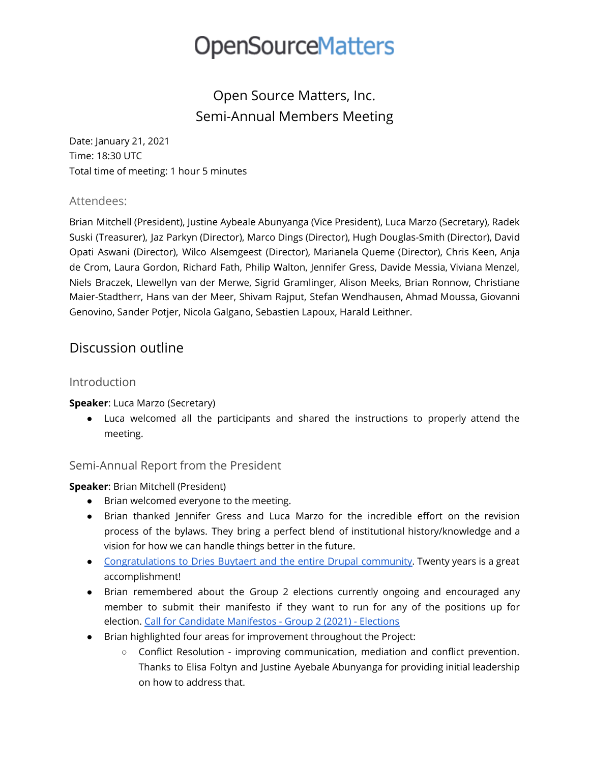### Open Source Matters, Inc. Semi-Annual Members Meeting

Date: January 21, 2021 Time: 18:30 UTC Total time of meeting: 1 hour 5 minutes

#### Attendees:

Brian Mitchell (President), Justine Aybeale Abunyanga (Vice President), Luca Marzo (Secretary), Radek Suski (Treasurer), Jaz Parkyn (Director), Marco Dings (Director), Hugh Douglas-Smith (Director), David Opati Aswani (Director), Wilco Alsemgeest (Director), Marianela Queme (Director), Chris Keen, Anja de Crom, Laura Gordon, Richard Fath, Philip Walton, Jennifer Gress, Davide Messia, Viviana Menzel, Niels Braczek, Llewellyn van der Merwe, Sigrid Gramlinger, Alison Meeks, Brian Ronnow, Christiane Maier-Stadtherr, Hans van der Meer, Shivam Rajput, Stefan Wendhausen, Ahmad Moussa, Giovanni Genovino, Sander Potjer, Nicola Galgano, Sebastien Lapoux, Harald Leithner.

### Discussion outline

#### Introduction

#### **Speaker**: Luca Marzo (Secretary)

● Luca welcomed all the participants and shared the instructions to properly attend the meeting.

#### Semi-Annual Report from the President

#### **Speaker**: Brian Mitchell (President)

- Brian welcomed everyone to the meeting.
- Brian thanked Jennifer Gress and Luca Marzo for the incredible effort on the revision process of the bylaws. They bring a perfect blend of institutional history/knowledge and a vision for how we can handle things better in the future.
- [Congratulations](https://www.drupal.org/association/blog/happy-20th-birthday-drupal) to Dries Buytaert and the entire Drupal community. Twenty years is a great accomplishment!
- Brian remembered about the Group 2 elections currently ongoing and encouraged any member to submit their manifesto if they want to run for any of the positions up for election. Call for Candidate [Manifestos](https://community.joomla.org/blogs/leadership/call-for-candidate-manifestos-group-2-2021-elections.html) - Group 2 (2021) - Elections
- Brian highlighted four areas for improvement throughout the Project:
	- Conflict Resolution improving communication, mediation and conflict prevention. Thanks to Elisa Foltyn and Justine Ayebale Abunyanga for providing initial leadership on how to address that.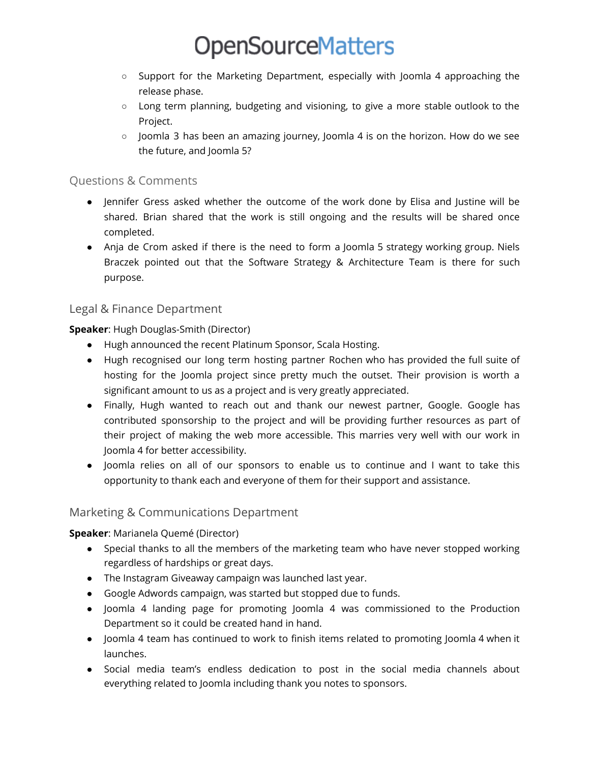- Support for the Marketing Department, especially with Joomla 4 approaching the release phase.
- Long term planning, budgeting and visioning, to give a more stable outlook to the Project.
- Joomla 3 has been an amazing journey, Joomla 4 is on the horizon. How do we see the future, and Joomla 5?

#### Questions & Comments

- Jennifer Gress asked whether the outcome of the work done by Elisa and Justine will be shared. Brian shared that the work is still ongoing and the results will be shared once completed.
- Anja de Crom asked if there is the need to form a Joomla 5 strategy working group. Niels Braczek pointed out that the Software Strategy & Architecture Team is there for such purpose.

#### Legal & Finance Department

**Speaker**: Hugh Douglas-Smith (Director)

- Hugh announced the recent Platinum Sponsor, Scala Hosting.
- Hugh recognised our long term hosting partner Rochen who has provided the full suite of hosting for the Joomla project since pretty much the outset. Their provision is worth a significant amount to us as a project and is very greatly appreciated.
- Finally, Hugh wanted to reach out and thank our newest partner, Google. Google has contributed sponsorship to the project and will be providing further resources as part of their project of making the web more accessible. This marries very well with our work in Joomla 4 for better accessibility.
- Joomla relies on all of our sponsors to enable us to continue and I want to take this opportunity to thank each and everyone of them for their support and assistance.

#### Marketing & Communications Department

#### **Speaker**: Marianela Quemé (Director)

- Special thanks to all the members of the marketing team who have never stopped working regardless of hardships or great days.
- The Instagram Giveaway campaign was launched last year.
- Google Adwords campaign, was started but stopped due to funds.
- Joomla 4 landing page for promoting Joomla 4 was commissioned to the Production Department so it could be created hand in hand.
- Joomla 4 team has continued to work to finish items related to promoting Joomla 4 when it launches.
- Social media team's endless dedication to post in the social media channels about everything related to Joomla including thank you notes to sponsors.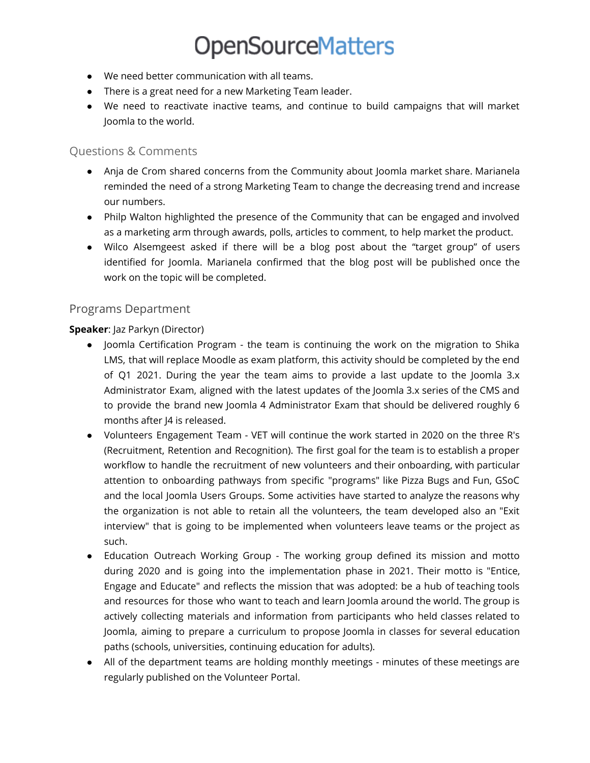- We need better communication with all teams.
- There is a great need for a new Marketing Team leader.
- We need to reactivate inactive teams, and continue to build campaigns that will market Joomla to the world.

#### Questions & Comments

- Anja de Crom shared concerns from the Community about Joomla market share. Marianela reminded the need of a strong Marketing Team to change the decreasing trend and increase our numbers.
- Philp Walton highlighted the presence of the Community that can be engaged and involved as a marketing arm through awards, polls, articles to comment, to help market the product.
- Wilco Alsemgeest asked if there will be a blog post about the "target group" of users identified for Joomla. Marianela confirmed that the blog post will be published once the work on the topic will be completed.

#### Programs Department

#### **Speaker**: Jaz Parkyn (Director)

- Joomla Certification Program the team is continuing the work on the migration to Shika LMS, that will replace Moodle as exam platform, this activity should be completed by the end of Q1 2021. During the year the team aims to provide a last update to the Joomla 3.x Administrator Exam, aligned with the latest updates of the Joomla 3.x series of the CMS and to provide the brand new Joomla 4 Administrator Exam that should be delivered roughly 6 months after J4 is released.
- Volunteers Engagement Team VET will continue the work started in 2020 on the three R's (Recruitment, Retention and Recognition). The first goal for the team is to establish a proper workflow to handle the recruitment of new volunteers and their onboarding, with particular attention to onboarding pathways from specific "programs" like Pizza Bugs and Fun, GSoC and the local Joomla Users Groups. Some activities have started to analyze the reasons why the organization is not able to retain all the volunteers, the team developed also an "Exit interview" that is going to be implemented when volunteers leave teams or the project as such.
- Education Outreach Working Group The working group defined its mission and motto during 2020 and is going into the implementation phase in 2021. Their motto is "Entice, Engage and Educate" and reflects the mission that was adopted: be a hub of teaching tools and resources for those who want to teach and learn Joomla around the world. The group is actively collecting materials and information from participants who held classes related to Joomla, aiming to prepare a curriculum to propose Joomla in classes for several education paths (schools, universities, continuing education for adults).
- All of the department teams are holding monthly meetings minutes of these meetings are regularly published on the Volunteer Portal.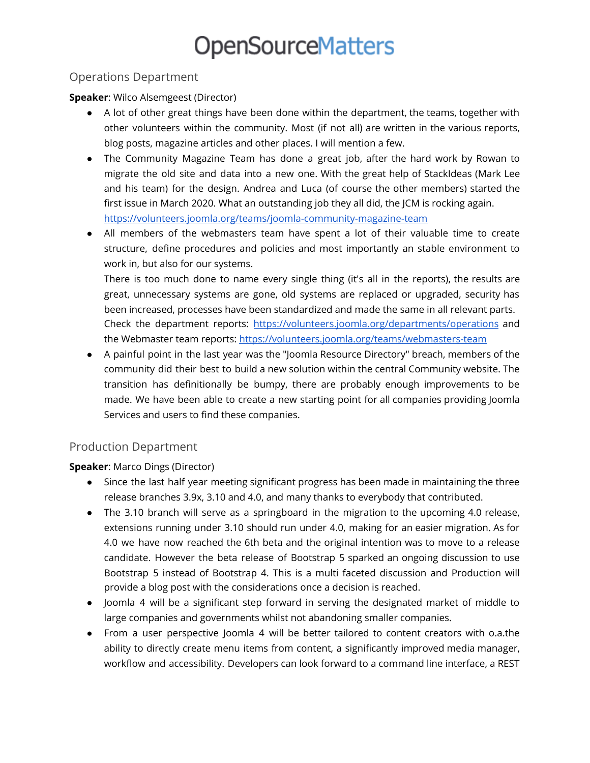#### Operations Department

**Speaker**: Wilco Alsemgeest (Director)

- A lot of other great things have been done within the department, the teams, together with other volunteers within the community. Most (if not all) are written in the various reports, blog posts, magazine articles and other places. I will mention a few.
- The Community Magazine Team has done a great job, after the hard work by Rowan to migrate the old site and data into a new one. With the great help of StackIdeas (Mark Lee and his team) for the design. Andrea and Luca (of course the other members) started the first issue in March 2020. What an outstanding job they all did, the JCM is rocking again. <https://volunteers.joomla.org/teams/joomla-community-magazine-team>
- All members of the webmasters team have spent a lot of their valuable time to create structure, define procedures and policies and most importantly an stable environment to work in, but also for our systems.

There is too much done to name every single thing (it's all in the reports), the results are great, unnecessary systems are gone, old systems are replaced or upgraded, security has been increased, processes have been standardized and made the same in all relevant parts. Check the department reports: <https://volunteers.joomla.org/departments/operations> and the Webmaster team reports: <https://volunteers.joomla.org/teams/webmasters-team>

● A painful point in the last year was the "Joomla Resource Directory" breach, members of the community did their best to build a new solution within the central Community website. The transition has definitionally be bumpy, there are probably enough improvements to be made. We have been able to create a new starting point for all companies providing Joomla Services and users to find these companies.

#### Production Department

**Speaker**: Marco Dings (Director)

- Since the last half year meeting significant progress has been made in maintaining the three release branches 3.9x, 3.10 and 4.0, and many thanks to everybody that contributed.
- The 3.10 branch will serve as a springboard in the migration to the upcoming 4.0 release, extensions running under 3.10 should run under 4.0, making for an easier migration. As for 4.0 we have now reached the 6th beta and the original intention was to move to a release candidate. However the beta release of Bootstrap 5 sparked an ongoing discussion to use Bootstrap 5 instead of Bootstrap 4. This is a multi faceted discussion and Production will provide a blog post with the considerations once a decision is reached.
- Joomla 4 will be a significant step forward in serving the designated market of middle to large companies and governments whilst not abandoning smaller companies.
- From a user perspective Joomla 4 will be better tailored to content creators with o.a.the ability to directly create menu items from content, a significantly improved media manager, workflow and accessibility. Developers can look forward to a command line interface, a REST